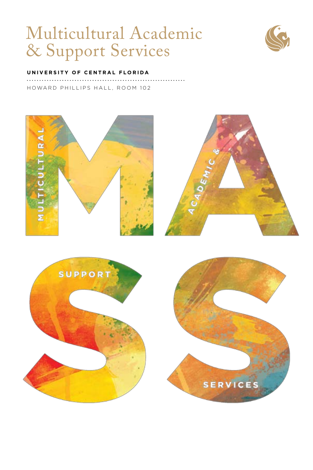# Multicultural Academic & Support Services



#### **UNIVERSITY OF CENTRAL FLORIDA**

HOWARD PHILLIPS HALL, ROOM 102

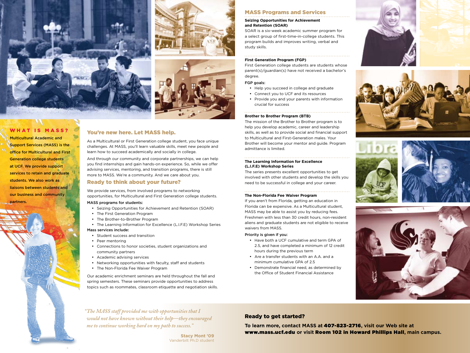





# WHAT IS MASS?

Multicultural Academic and Support Services (MASS) is the office for Multicultural and First Generation college students at UCF. We provide support services to retain and graduate students. We also work as liaisons between students and our business and community partners.



As a Multicultural or First Generation college student, you face unique challenges. At MASS, you'll learn valuable skills, meet new people and learn how to succeed academically and socially in college.

And through our community and corporate partnerships, we can help you find internships and gain hands-on experience. So, while we offer advising services, mentoring, and transition programs, there is still more to MASS. We're a community. And we care about you.

## Ready to think about your future?

We provide services, from involved programs to networking opportunities, for Multicultural and First Generation college students.

#### MASS programs for students:

- • Seizing Opportunities for Achievement and Retention (SOAR)
- The First Generation Program
- The Brother-to-Brother Program
- The Learning Information for Excellence (L.I.F.E) Workshop Series

## Mass services include:

- • Student success and transition
- Peer mentoring
- • Connections to honor societies, student organizations and community partners
- • Academic advising services
- Networking opportunities with faculty, staff and students
- The Non-Florida Fee Waiver Program

Our academic enrichment seminars are held throughout the fall and spring semesters. These seminars provide opportunities to address topics such as roommates, classroom etiquette and negotiation skills.

# MASS Programs and Services

#### **Seizing Opportunities for Achievement and Retention (SOAR)**

SOAR is a six-week academic summer program for a select group of first-time-in-college students. This program builds and improves writing, verbal and study skills.

#### **First Generation Program (FGP)**

First Generation college students are students whose parent(s)/guardian(s) have not received a bachelor's degree.

## FGP goals:

- Help you succeed in college and graduate
- • Connect you to UCF and its resources
- • Provide you and your parents with information crucial for success

#### **Brother to Brother Program (BTB)**

The mission of the Brother to Brother program is to help you develop academic, career and leadership skills, as well as to provide social and financial support to Multicultural and First-Generation males. Your Brother will become your mentor and guide. Program admittance is limited.

## **The Learning Information for Excellence (L.I.F.E) Workshop Series**

The series presents excellent opportunities to get involved with other students and develop the skills you need to be successful in college and your career.

#### **The Non-Florida Fee Waiver Program**

If you aren't from Florida, getting an education in Florida can be expensive. As a Multicultural student, MASS may be able to assist you by reducing fees. Freshmen with less than 30 credit hours, non-resident aliens and graduate students are not eligible to receive waivers from MASS.

#### Priority is given if you:

- • Have both a UCF cumulative and term GPA of 2.5, and have completed a minimum of 12 credit hours during the previous term
- • Are a transfer students with an A.A. and a minimum cumulative GPA of 2.5
- • Demonstrate financial need, as determined by the Office of Student Financial Assistance









*"The MASS staff provided me with opportunities that I would not have known without their help—they encouraged me to continue working hard on my path to success."* 

> **Stacy Mont '09** Vanderbilt Ph.D student

# Ready to get started?

**To learn more, contact MASS at** 407-823-2716**, visit our Web site at**  www.mass.ucf.edu **or visit** Room 102 in Howard Phillips Hall**, main campus.**